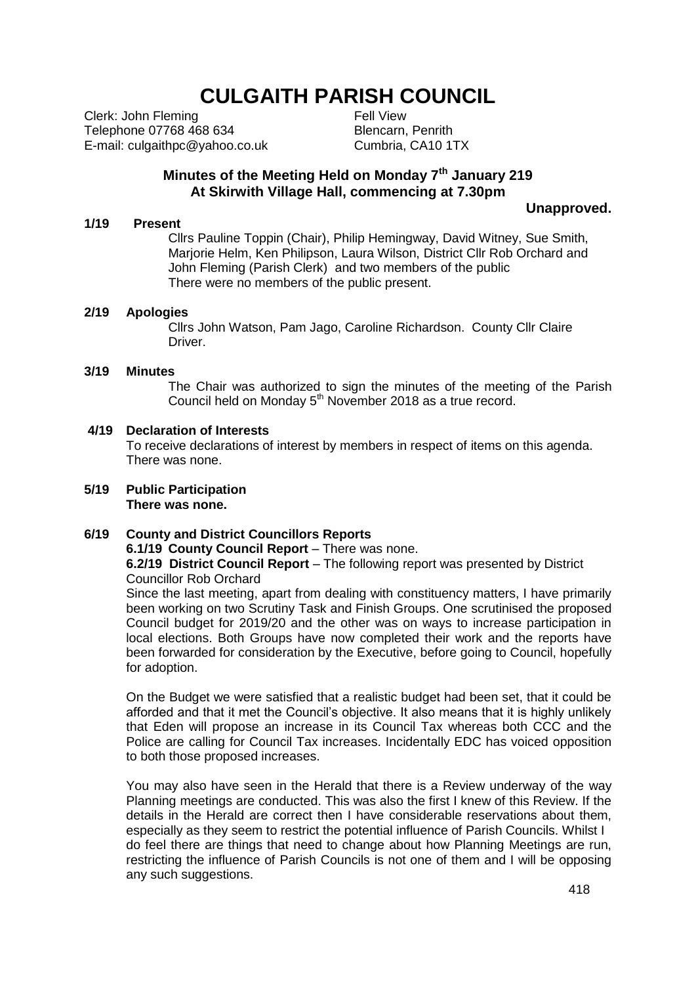# **CULGAITH PARISH COUNCIL**

Clerk: John Fleming Telephone 07768 468 634 E-mail: culgaithpc@yahoo.co.uk Fell View Blencarn, Penrith Cumbria, CA10 1TX

# **Minutes of the Meeting Held on Monday 7th January 219 At Skirwith Village Hall, commencing at 7.30pm**

# **Unapproved.**

**1/19 Present** Cllrs Pauline Toppin (Chair), Philip Hemingway, David Witney, Sue Smith, Marjorie Helm, Ken Philipson, Laura Wilson, District Cllr Rob Orchard and John Fleming (Parish Clerk) and two members of the public There were no members of the public present.

#### **2/19 Apologies**

Cllrs John Watson, Pam Jago, Caroline Richardson. County Cllr Claire Driver.

#### **3/19 Minutes**

The Chair was authorized to sign the minutes of the meeting of the Parish Council held on Monday 5<sup>th</sup> November 2018 as a true record.

#### **4/19 Declaration of Interests**

To receive declarations of interest by members in respect of items on this agenda. There was none.

**5/19 Public Participation There was none.**

# **6/19 County and District Councillors Reports 6.1/19 County Council Report** – There was none.

**6.2/19 District Council Report** – The following report was presented by District Councillor Rob Orchard

Since the last meeting, apart from dealing with constituency matters, I have primarily been working on two Scrutiny Task and Finish Groups. One scrutinised the proposed Council budget for 2019/20 and the other was on ways to increase participation in local elections. Both Groups have now completed their work and the reports have been forwarded for consideration by the Executive, before going to Council, hopefully for adoption.

On the Budget we were satisfied that a realistic budget had been set, that it could be afforded and that it met the Council's objective. It also means that it is highly unlikely that Eden will propose an increase in its Council Tax whereas both CCC and the Police are calling for Council Tax increases. Incidentally EDC has voiced opposition to both those proposed increases.

You may also have seen in the Herald that there is a Review underway of the way Planning meetings are conducted. This was also the first I knew of this Review. If the details in the Herald are correct then I have considerable reservations about them, especially as they seem to restrict the potential influence of Parish Councils. Whilst I do feel there are things that need to change about how Planning Meetings are run, restricting the influence of Parish Councils is not one of them and I will be opposing any such suggestions.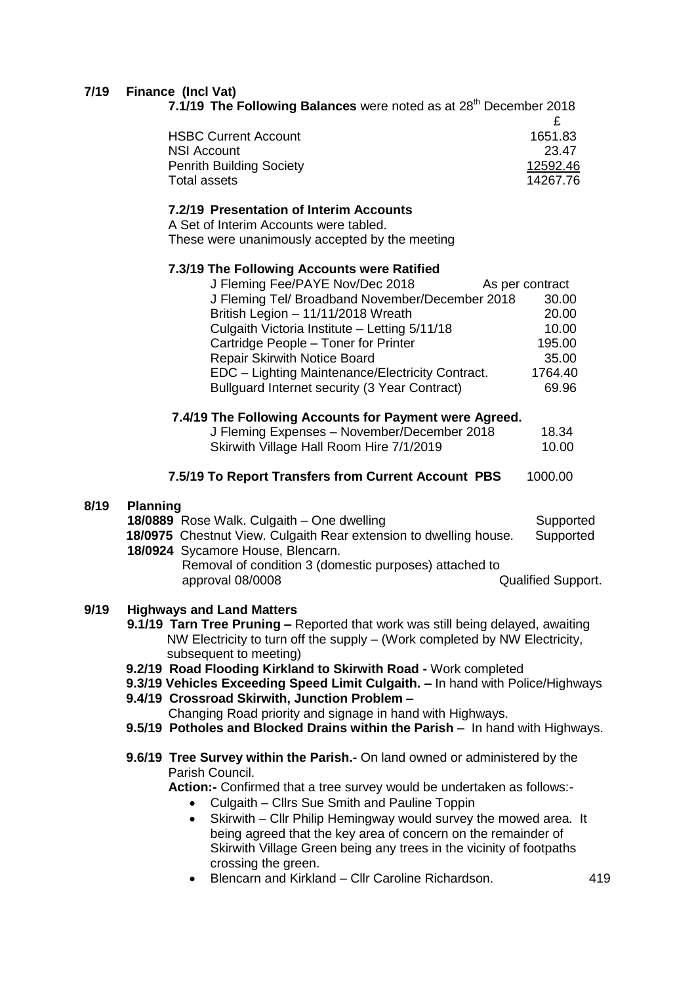# **7/19 Finance (Incl Vat)**

| 7.1/19 The Following Balances were noted as at 28 <sup>th</sup> December 2018 |          |
|-------------------------------------------------------------------------------|----------|
|                                                                               |          |
| <b>HSBC Current Account</b>                                                   | 1651.83  |
| <b>NSI Account</b>                                                            | 23.47    |
| <b>Penrith Building Society</b>                                               | 12592.46 |
| <b>Total assets</b>                                                           | 14267.76 |

# **7.2/19 Presentation of Interim Accounts**

A Set of Interim Accounts were tabled. These were unanimously accepted by the meeting

#### **7.3/19 The Following Accounts were Ratified**

| J Fleming Fee/PAYE Nov/Dec 2018                  | As per contract |
|--------------------------------------------------|-----------------|
| J Fleming Tel/ Broadband November/December 2018  | 30.00           |
| British Legion - 11/11/2018 Wreath               | 20.00           |
| Culgaith Victoria Institute - Letting 5/11/18    | 10.00           |
| Cartridge People - Toner for Printer             | 195.00          |
| <b>Repair Skirwith Notice Board</b>              | 35.00           |
| EDC - Lighting Maintenance/Electricity Contract. | 1764.40         |
| Bullguard Internet security (3 Year Contract)    | 69.96           |

#### **7.4/19 The Following Accounts for Payment were Agreed.**

| J Fleming Expenses - November/December 2018 | 18.34 |
|---------------------------------------------|-------|
| Skirwith Village Hall Room Hire 7/1/2019    | 10.00 |

#### **7.5/19 To Report Transfers from Current Account PBS** 1000.00

# **8/19 Planning**

| 18/0889 Rose Walk. Culgaith – One dwelling                               | Supported                 |
|--------------------------------------------------------------------------|---------------------------|
| <b>18/0975</b> Chestnut View. Culgaith Rear extension to dwelling house. | Supported                 |
| 18/0924 Sycamore House, Blencarn.                                        |                           |
| Removal of condition 3 (domestic purposes) attached to                   |                           |
| approval 08/0008                                                         | <b>Qualified Support.</b> |

# **9/19 Highways and Land Matters**

- **9.1/19 Tarn Tree Pruning –** Reported that work was still being delayed, awaiting NW Electricity to turn off the supply – (Work completed by NW Electricity, subsequent to meeting)
- **9.2/19 Road Flooding Kirkland to Skirwith Road -** Work completed
- **9.3/19 Vehicles Exceeding Speed Limit Culgaith. –** In hand with Police/Highways
- **9.4/19 Crossroad Skirwith, Junction Problem –** Changing Road priority and signage in hand with Highways.
- 
- **9.5/19 Potholes and Blocked Drains within the Parish**  In hand with Highways.
- **9.6/19 Tree Survey within the Parish.-** On land owned or administered by the Parish Council.

**Action:-** Confirmed that a tree survey would be undertaken as follows:-

- Culgaith Cllrs Sue Smith and Pauline Toppin
- Skirwith Cllr Philip Hemingway would survey the mowed area. It being agreed that the key area of concern on the remainder of Skirwith Village Green being any trees in the vicinity of footpaths crossing the green.
- Blencarn and Kirkland Cllr Caroline Richardson. 419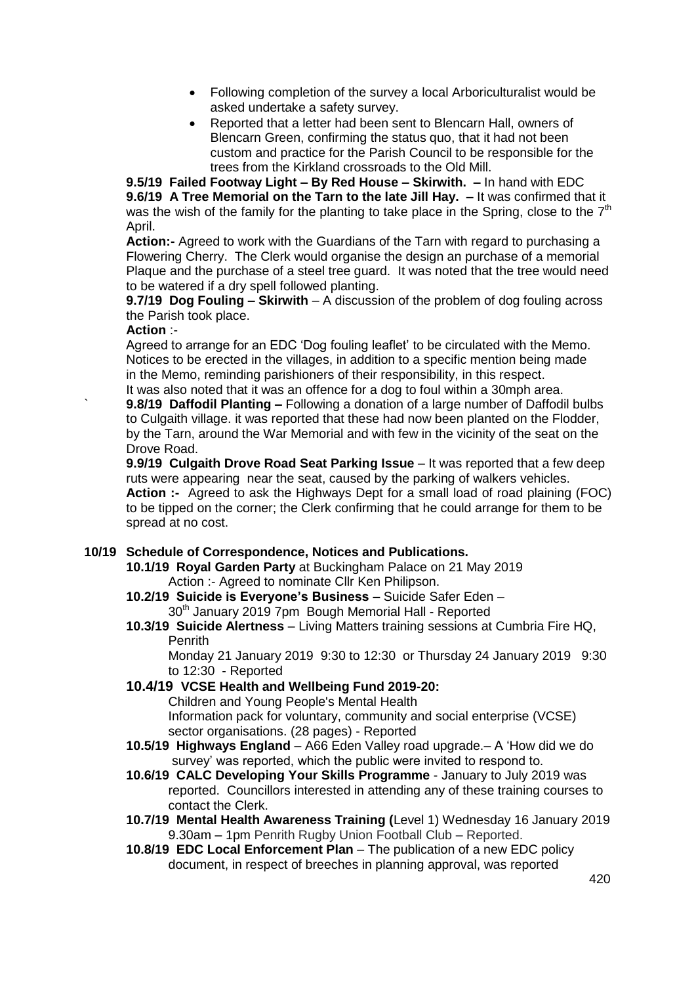- Following completion of the survey a local Arboriculturalist would be asked undertake a safety survey.
- Reported that a letter had been sent to Blencarn Hall, owners of Blencarn Green, confirming the status quo, that it had not been custom and practice for the Parish Council to be responsible for the trees from the Kirkland crossroads to the Old Mill.

**9.5/19 Failed Footway Light – By Red House – Skirwith. –** In hand with EDC **9.6/19 A Tree Memorial on the Tarn to the late Jill Hay. –** It was confirmed that it was the wish of the family for the planting to take place in the Spring, close to the  $7<sup>th</sup>$ April.

**Action:-** Agreed to work with the Guardians of the Tarn with regard to purchasing a Flowering Cherry. The Clerk would organise the design an purchase of a memorial Plaque and the purchase of a steel tree guard. It was noted that the tree would need to be watered if a dry spell followed planting.

**9.7/19 Dog Fouling – Skirwith** – A discussion of the problem of dog fouling across the Parish took place.

# **Action** :-

Agreed to arrange for an EDC 'Dog fouling leaflet' to be circulated with the Memo. Notices to be erected in the villages, in addition to a specific mention being made in the Memo, reminding parishioners of their responsibility, in this respect.

It was also noted that it was an offence for a dog to foul within a 30mph area. ` **9.8/19 Daffodil Planting –** Following a donation of a large number of Daffodil bulbs to Culgaith village. it was reported that these had now been planted on the Flodder, by the Tarn, around the War Memorial and with few in the vicinity of the seat on the Drove Road.

**9.9/19 Culgaith Drove Road Seat Parking Issue** – It was reported that a few deep ruts were appearing near the seat, caused by the parking of walkers vehicles. **Action :-** Agreed to ask the Highways Dept for a small load of road plaining (FOC) to be tipped on the corner; the Clerk confirming that he could arrange for them to be spread at no cost.

# **10/19 Schedule of Correspondence, Notices and Publications.**

- **10.1/19 Royal Garden Party** at Buckingham Palace on 21 May 2019 Action :- Agreed to nominate Cllr Ken Philipson.
- **10.2/19 Suicide is Everyone's Business –** Suicide Safer Eden 30<sup>th</sup> January 2019 7pm Bough Memorial Hall - Reported
- **10.3/19 Suicide Alertness** Living Matters training sessions at Cumbria Fire HQ, Penrith

Monday 21 January 2019 9:30 to 12:30 or Thursday 24 January 2019 9:30 to 12:30 - Reported

**10.4/19 VCSE Health and Wellbeing Fund 2019-20:** 

Children and Young People's Mental Health Information pack for voluntary, community and social enterprise (VCSE) sector organisations. (28 pages) - Reported

- **10.5/19 Highways England** A66 Eden Valley road upgrade.– A 'How did we do survey' was reported, which the public were invited to respond to.
- **10.6/19 CALC Developing Your Skills Programme** January to July 2019 was reported. Councillors interested in attending any of these training courses to contact the Clerk.
- **10.7/19 Mental Health Awareness Training (**Level 1) Wednesday 16 January 2019 9.30am – 1pm Penrith Rugby Union Football Club – Reported.
- **10.8/19 EDC Local Enforcement Plan** The publication of a new EDC policy document, in respect of breeches in planning approval, was reported